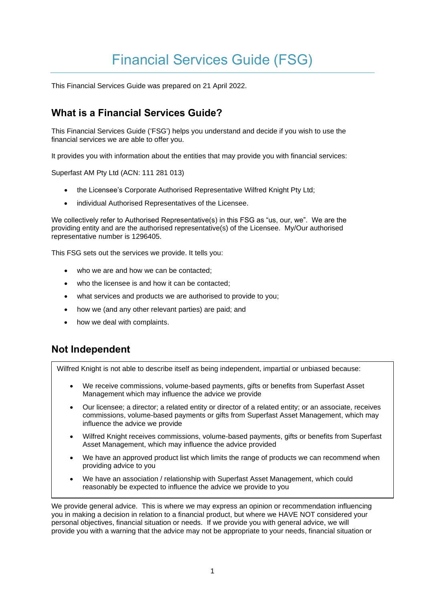# Financial Services Guide (FSG)

This Financial Services Guide was prepared on 21 April 2022.

# **What is a Financial Services Guide?**

This Financial Services Guide ('FSG') helps you understand and decide if you wish to use the financial services we are able to offer you.

It provides you with information about the entities that may provide you with financial services:

Superfast AM Pty Ltd (ACN: 111 281 013)

- the Licensee's Corporate Authorised Representative Wilfred Knight Pty Ltd;
- individual Authorised Representatives of the Licensee.

We collectively refer to Authorised Representative(s) in this FSG as "us, our, we". We are the providing entity and are the authorised representative(s) of the Licensee. My/Our authorised representative number is 1296405.

This FSG sets out the services we provide. It tells you:

- who we are and how we can be contacted:
- who the licensee is and how it can be contacted;
- what services and products we are authorised to provide to you;
- how we (and any other relevant parties) are paid; and
- how we deal with complaints.

# **Not Independent**

Wilfred Knight is not able to describe itself as being independent, impartial or unbiased because:

- We receive commissions, volume-based payments, gifts or benefits from Superfast Asset Management which may influence the advice we provide
- Our licensee; a director; a related entity or director of a related entity; or an associate, receives commissions, volume-based payments or gifts from Superfast Asset Management, which may influence the advice we provide
- Wilfred Knight receives commissions, volume-based payments, gifts or benefits from Superfast Asset Management, which may influence the advice provided
- We have an approved product list which limits the range of products we can recommend when providing advice to you
- We have an association / relationship with Superfast Asset Management, which could reasonably be expected to influence the advice we provide to you

We provide general advice. This is where we may express an opinion or recommendation influencing you in making a decision in relation to a financial product, but where we HAVE NOT considered your personal objectives, financial situation or needs. If we provide you with general advice, we will provide you with a warning that the advice may not be appropriate to your needs, financial situation or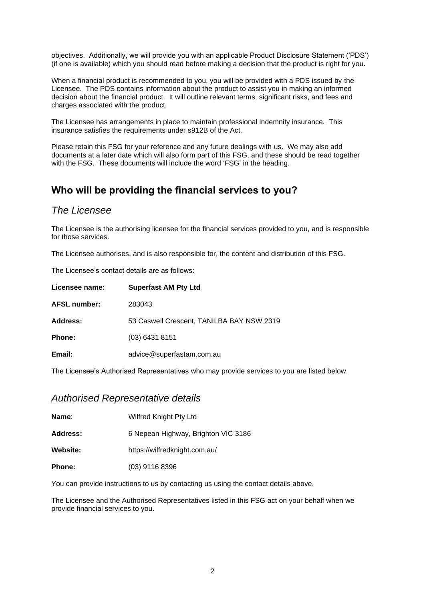objectives. Additionally, we will provide you with an applicable Product Disclosure Statement ('PDS') (if one is available) which you should read before making a decision that the product is right for you.

When a financial product is recommended to you, you will be provided with a PDS issued by the Licensee. The PDS contains information about the product to assist you in making an informed decision about the financial product. It will outline relevant terms, significant risks, and fees and charges associated with the product.

The Licensee has arrangements in place to maintain professional indemnity insurance. This insurance satisfies the requirements under s912B of the Act.

Please retain this FSG for your reference and any future dealings with us. We may also add documents at a later date which will also form part of this FSG, and these should be read together with the FSG. These documents will include the word 'FSG' in the heading.

# **Who will be providing the financial services to you?**

#### *The Licensee*

The Licensee is the authorising licensee for the financial services provided to you, and is responsible for those services.

The Licensee authorises, and is also responsible for, the content and distribution of this FSG.

The Licensee's contact details are as follows:

| Licensee name:      | <b>Superfast AM Pty Ltd</b>               |
|---------------------|-------------------------------------------|
| <b>AFSL number:</b> | 283043                                    |
| Address:            | 53 Caswell Crescent, TANILBA BAY NSW 2319 |
| <b>Phone:</b>       | $(03)$ 6431 8151                          |
| Email:              | advice@superfastam.com.au                 |
|                     |                                           |

The Licensee's Authorised Representatives who may provide services to you are listed below.

#### *Authorised Representative details*

**Name:** Wilfred Knight Pty Ltd

**Address:** 6 Nepean Highway, Brighton VIC 3186

**Website:** https://wilfredknight.com.au/

**Phone:** (03) 9116 8396

You can provide instructions to us by contacting us using the contact details above.

The Licensee and the Authorised Representatives listed in this FSG act on your behalf when we provide financial services to you.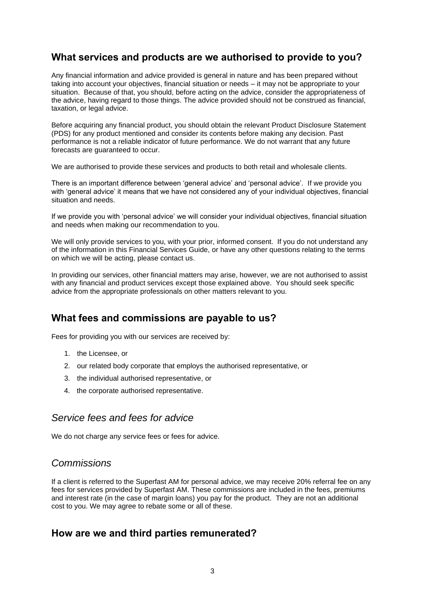## **What services and products are we authorised to provide to you?**

Any financial information and advice provided is general in nature and has been prepared without taking into account your objectives, financial situation or needs – it may not be appropriate to your situation. Because of that, you should, before acting on the advice, consider the appropriateness of the advice, having regard to those things. The advice provided should not be construed as financial, taxation, or legal advice.

Before acquiring any financial product, you should obtain the relevant Product Disclosure Statement (PDS) for any product mentioned and consider its contents before making any decision. Past performance is not a reliable indicator of future performance. We do not warrant that any future forecasts are guaranteed to occur.

We are authorised to provide these services and products to both retail and wholesale clients.

There is an important difference between 'general advice' and 'personal advice'. If we provide you with 'general advice' it means that we have not considered any of your individual objectives, financial situation and needs.

If we provide you with 'personal advice' we will consider your individual objectives, financial situation and needs when making our recommendation to you.

We will only provide services to you, with your prior, informed consent. If you do not understand any of the information in this Financial Services Guide, or have any other questions relating to the terms on which we will be acting, please contact us.

In providing our services, other financial matters may arise, however, we are not authorised to assist with any financial and product services except those explained above. You should seek specific advice from the appropriate professionals on other matters relevant to you.

## **What fees and commissions are payable to us?**

Fees for providing you with our services are received by:

- 1. the Licensee, or
- 2. our related body corporate that employs the authorised representative, or
- 3. the individual authorised representative, or
- 4. the corporate authorised representative.

## *Service fees and fees for advice*

We do not charge any service fees or fees for advice.

## *Commissions*

If a client is referred to the Superfast AM for personal advice, we may receive 20% referral fee on any fees for services provided by Superfast AM. These commissions are included in the fees, premiums and interest rate (in the case of margin loans) you pay for the product. They are not an additional cost to you. We may agree to rebate some or all of these.

## **How are we and third parties remunerated?**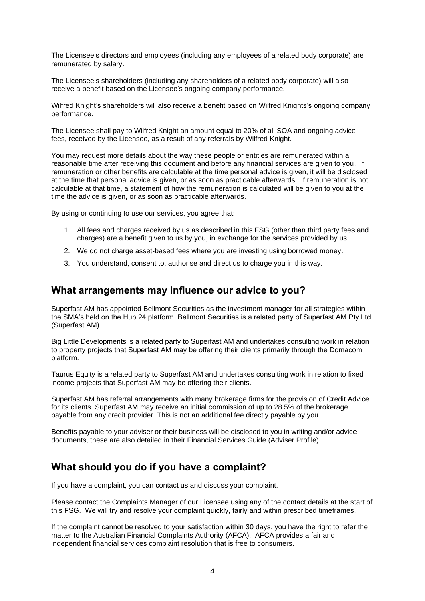The Licensee's directors and employees (including any employees of a related body corporate) are remunerated by salary.

The Licensee's shareholders (including any shareholders of a related body corporate) will also receive a benefit based on the Licensee's ongoing company performance.

Wilfred Knight's shareholders will also receive a benefit based on Wilfred Knights's ongoing company performance.

The Licensee shall pay to Wilfred Knight an amount equal to 20% of all SOA and ongoing advice fees, received by the Licensee, as a result of any referrals by Wilfred Knight.

You may request more details about the way these people or entities are remunerated within a reasonable time after receiving this document and before any financial services are given to you. If remuneration or other benefits are calculable at the time personal advice is given, it will be disclosed at the time that personal advice is given, or as soon as practicable afterwards. If remuneration is not calculable at that time, a statement of how the remuneration is calculated will be given to you at the time the advice is given, or as soon as practicable afterwards.

By using or continuing to use our services, you agree that:

- 1. All fees and charges received by us as described in this FSG (other than third party fees and charges) are a benefit given to us by you, in exchange for the services provided by us.
- 2. We do not charge asset-based fees where you are investing using borrowed money.
- 3. You understand, consent to, authorise and direct us to charge you in this way.

#### **What arrangements may influence our advice to you?**

Superfast AM has appointed Bellmont Securities as the investment manager for all strategies within the SMA's held on the Hub 24 platform. Bellmont Securities is a related party of Superfast AM Pty Ltd (Superfast AM).

Big Little Developments is a related party to Superfast AM and undertakes consulting work in relation to property projects that Superfast AM may be offering their clients primarily through the Domacom platform.

Taurus Equity is a related party to Superfast AM and undertakes consulting work in relation to fixed income projects that Superfast AM may be offering their clients.

Superfast AM has referral arrangements with many brokerage firms for the provision of Credit Advice for its clients. Superfast AM may receive an initial commission of up to 28.5% of the brokerage payable from any credit provider. This is not an additional fee directly payable by you.

Benefits payable to your adviser or their business will be disclosed to you in writing and/or advice documents, these are also detailed in their Financial Services Guide (Adviser Profile).

## **What should you do if you have a complaint?**

If you have a complaint, you can contact us and discuss your complaint.

Please contact the Complaints Manager of our Licensee using any of the contact details at the start of this FSG. We will try and resolve your complaint quickly, fairly and within prescribed timeframes.

If the complaint cannot be resolved to your satisfaction within 30 days, you have the right to refer the matter to the Australian Financial Complaints Authority (AFCA). AFCA provides a fair and independent financial services complaint resolution that is free to consumers.